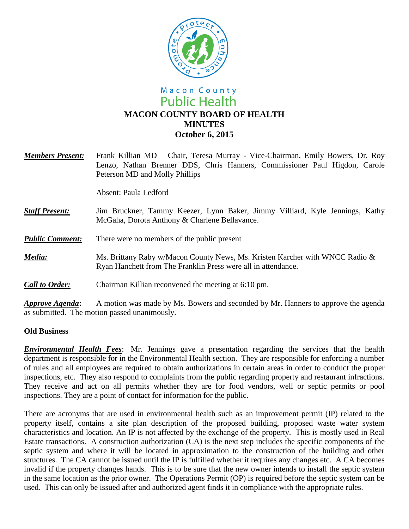

## Macon County **Public Health MACON COUNTY BOARD OF HEALTH MINUTES October 6, 2015**

| <b>Members Present:</b> | Frank Killian MD – Chair, Teresa Murray - Vice-Chairman, Emily Bowers, Dr. Roy<br>Lenzo, Nathan Brenner DDS, Chris Hanners, Commissioner Paul Higdon, Carole<br>Peterson MD and Molly Phillips |
|-------------------------|------------------------------------------------------------------------------------------------------------------------------------------------------------------------------------------------|
|                         | Absent: Paula Ledford                                                                                                                                                                          |
| <b>Staff Present:</b>   | Jim Bruckner, Tammy Keezer, Lynn Baker, Jimmy Villiard, Kyle Jennings, Kathy<br>McGaha, Dorota Anthony & Charlene Bellavance.                                                                  |
| <b>Public Comment:</b>  | There were no members of the public present                                                                                                                                                    |
| Media:                  | Ms. Brittany Raby w/Macon County News, Ms. Kristen Karcher with WNCC Radio &<br>Ryan Hanchett from The Franklin Press were all in attendance.                                                  |
| <b>Call to Order:</b>   | Chairman Killian reconvened the meeting at 6:10 pm.                                                                                                                                            |
| Approve Agenda:         | A motion was made by Ms. Bowers and seconded by Mr. Hanners to approve the agenda                                                                                                              |

as submitted. The motion passed unanimously.

## **Old Business**

*Environmental Health Fees*: Mr. Jennings gave a presentation regarding the services that the health department is responsible for in the Environmental Health section. They are responsible for enforcing a number of rules and all employees are required to obtain authorizations in certain areas in order to conduct the proper inspections, etc. They also respond to complaints from the public regarding property and restaurant infractions. They receive and act on all permits whether they are for food vendors, well or septic permits or pool inspections. They are a point of contact for information for the public.

There are acronyms that are used in environmental health such as an improvement permit (IP) related to the property itself, contains a site plan description of the proposed building, proposed waste water system characteristics and location. An IP is not affected by the exchange of the property. This is mostly used in Real Estate transactions. A construction authorization (CA) is the next step includes the specific components of the septic system and where it will be located in approximation to the construction of the building and other structures. The CA cannot be issued until the IP is fulfilled whether it requires any changes etc. A CA becomes invalid if the property changes hands. This is to be sure that the new owner intends to install the septic system in the same location as the prior owner. The Operations Permit (OP) is required before the septic system can be used. This can only be issued after and authorized agent finds it in compliance with the appropriate rules.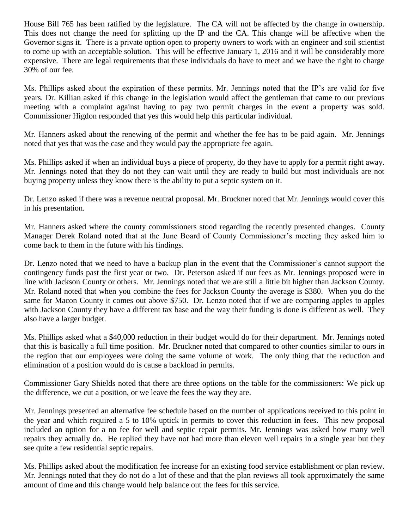House Bill 765 has been ratified by the legislature. The CA will not be affected by the change in ownership. This does not change the need for splitting up the IP and the CA. This change will be affective when the Governor signs it. There is a private option open to property owners to work with an engineer and soil scientist to come up with an acceptable solution. This will be effective January 1, 2016 and it will be considerably more expensive. There are legal requirements that these individuals do have to meet and we have the right to charge 30% of our fee.

Ms. Phillips asked about the expiration of these permits. Mr. Jennings noted that the IP's are valid for five years. Dr. Killian asked if this change in the legislation would affect the gentleman that came to our previous meeting with a complaint against having to pay two permit charges in the event a property was sold. Commissioner Higdon responded that yes this would help this particular individual.

Mr. Hanners asked about the renewing of the permit and whether the fee has to be paid again. Mr. Jennings noted that yes that was the case and they would pay the appropriate fee again.

Ms. Phillips asked if when an individual buys a piece of property, do they have to apply for a permit right away. Mr. Jennings noted that they do not they can wait until they are ready to build but most individuals are not buying property unless they know there is the ability to put a septic system on it.

Dr. Lenzo asked if there was a revenue neutral proposal. Mr. Bruckner noted that Mr. Jennings would cover this in his presentation.

Mr. Hanners asked where the county commissioners stood regarding the recently presented changes. County Manager Derek Roland noted that at the June Board of County Commissioner's meeting they asked him to come back to them in the future with his findings.

Dr. Lenzo noted that we need to have a backup plan in the event that the Commissioner's cannot support the contingency funds past the first year or two. Dr. Peterson asked if our fees as Mr. Jennings proposed were in line with Jackson County or others. Mr. Jennings noted that we are still a little bit higher than Jackson County. Mr. Roland noted that when you combine the fees for Jackson County the average is \$380. When you do the same for Macon County it comes out above \$750. Dr. Lenzo noted that if we are comparing apples to apples with Jackson County they have a different tax base and the way their funding is done is different as well. They also have a larger budget.

Ms. Phillips asked what a \$40,000 reduction in their budget would do for their department. Mr. Jennings noted that this is basically a full time position. Mr. Bruckner noted that compared to other counties similar to ours in the region that our employees were doing the same volume of work. The only thing that the reduction and elimination of a position would do is cause a backload in permits.

Commissioner Gary Shields noted that there are three options on the table for the commissioners: We pick up the difference, we cut a position, or we leave the fees the way they are.

Mr. Jennings presented an alternative fee schedule based on the number of applications received to this point in the year and which required a 5 to 10% uptick in permits to cover this reduction in fees. This new proposal included an option for a no fee for well and septic repair permits. Mr. Jennings was asked how many well repairs they actually do. He replied they have not had more than eleven well repairs in a single year but they see quite a few residential septic repairs.

Ms. Phillips asked about the modification fee increase for an existing food service establishment or plan review. Mr. Jennings noted that they do not do a lot of these and that the plan reviews all took approximately the same amount of time and this change would help balance out the fees for this service.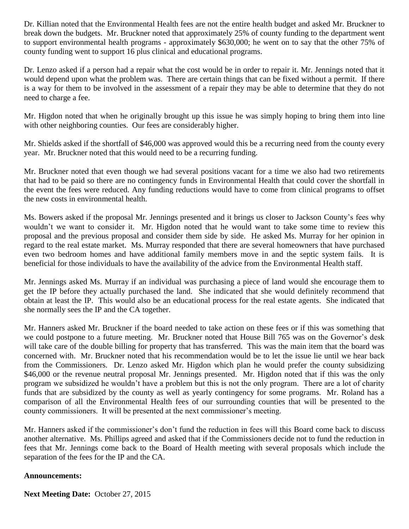Dr. Killian noted that the Environmental Health fees are not the entire health budget and asked Mr. Bruckner to break down the budgets. Mr. Bruckner noted that approximately 25% of county funding to the department went to support environmental health programs - approximately \$630,000; he went on to say that the other 75% of county funding went to support 16 plus clinical and educational programs.

Dr. Lenzo asked if a person had a repair what the cost would be in order to repair it. Mr. Jennings noted that it would depend upon what the problem was. There are certain things that can be fixed without a permit. If there is a way for them to be involved in the assessment of a repair they may be able to determine that they do not need to charge a fee.

Mr. Higdon noted that when he originally brought up this issue he was simply hoping to bring them into line with other neighboring counties. Our fees are considerably higher.

Mr. Shields asked if the shortfall of \$46,000 was approved would this be a recurring need from the county every year. Mr. Bruckner noted that this would need to be a recurring funding.

Mr. Bruckner noted that even though we had several positions vacant for a time we also had two retirements that had to be paid so there are no contingency funds in Environmental Health that could cover the shortfall in the event the fees were reduced. Any funding reductions would have to come from clinical programs to offset the new costs in environmental health.

Ms. Bowers asked if the proposal Mr. Jennings presented and it brings us closer to Jackson County's fees why wouldn't we want to consider it. Mr. Higdon noted that he would want to take some time to review this proposal and the previous proposal and consider them side by side. He asked Ms. Murray for her opinion in regard to the real estate market. Ms. Murray responded that there are several homeowners that have purchased even two bedroom homes and have additional family members move in and the septic system fails. It is beneficial for those individuals to have the availability of the advice from the Environmental Health staff.

Mr. Jennings asked Ms. Murray if an individual was purchasing a piece of land would she encourage them to get the IP before they actually purchased the land. She indicated that she would definitely recommend that obtain at least the IP. This would also be an educational process for the real estate agents. She indicated that she normally sees the IP and the CA together.

Mr. Hanners asked Mr. Bruckner if the board needed to take action on these fees or if this was something that we could postpone to a future meeting. Mr. Bruckner noted that House Bill 765 was on the Governor's desk will take care of the double billing for property that has transferred. This was the main item that the board was concerned with. Mr. Bruckner noted that his recommendation would be to let the issue lie until we hear back from the Commissioners. Dr. Lenzo asked Mr. Higdon which plan he would prefer the county subsidizing \$46,000 or the revenue neutral proposal Mr. Jennings presented. Mr. Higdon noted that if this was the only program we subsidized he wouldn't have a problem but this is not the only program. There are a lot of charity funds that are subsidized by the county as well as yearly contingency for some programs. Mr. Roland has a comparison of all the Environmental Health fees of our surrounding counties that will be presented to the county commissioners. It will be presented at the next commissioner's meeting.

Mr. Hanners asked if the commissioner's don't fund the reduction in fees will this Board come back to discuss another alternative. Ms. Phillips agreed and asked that if the Commissioners decide not to fund the reduction in fees that Mr. Jennings come back to the Board of Health meeting with several proposals which include the separation of the fees for the IP and the CA.

## **Announcements:**

**Next Meeting Date:** October 27, 2015